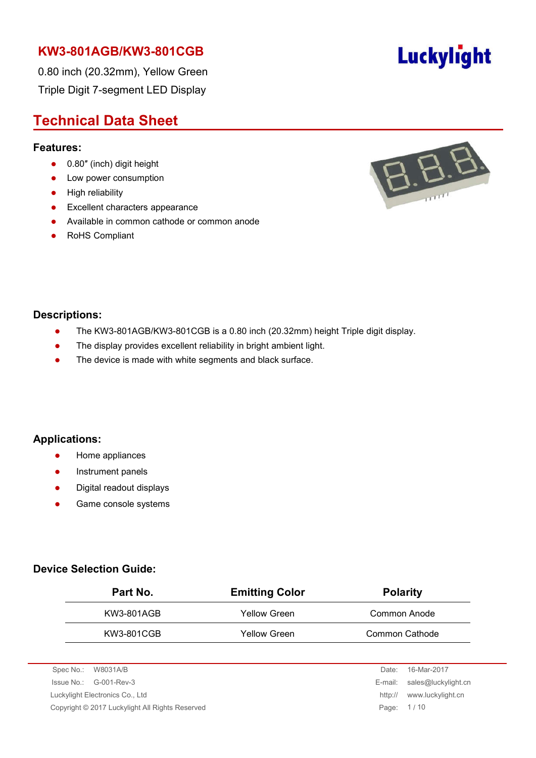0.80 inch (20.32mm), Yellow Green Triple Digit 7-segment LED Display

# **Technical Data Sheet**

#### **Features:**

- 0.80" (inch) digit height
- Low power consumption
- **•** High reliability
- **Excellent characters appearance**
- Available in common cathode or common anode
- RoHS Compliant



### **Descriptions:**

- The KW3-801AGB/KW3-801CGB is a 0.80 inch (20.32mm) height Triple digit display.
- The display provides excellent reliability in bright ambient light.
- The device is made with white segments and black surface.

### **Applications:**

- **•** Home appliances
- Instrument panels
- Digital readout displays
- **•** Game console systems

### **Device Selection Guide:**

| Part No.   | <b>Emitting Color</b> | <b>Polarity</b> |
|------------|-----------------------|-----------------|
| KW3-801AGB | Yellow Green          | Common Anode    |
| KW3-801CGB | <b>Yellow Green</b>   | Common Cathode  |

| Spec No.: W8031A/B                              | Date:      | 16-Mar-2017                 |
|-------------------------------------------------|------------|-----------------------------|
| $\sue No.: \, G-001-Rev-3$                      |            | E-mail: sales@luckylight.cn |
| Luckylight Electronics Co., Ltd                 | http://    | www.luckylight.cn           |
| Copyright © 2017 Luckylight All Rights Reserved | Page: 1/10 |                             |
|                                                 |            |                             |

# Luckylight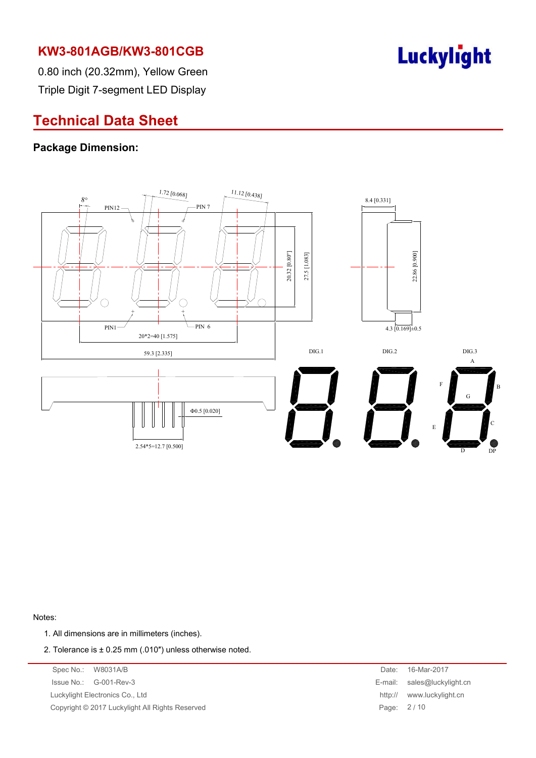

0.80 inch (20.32mm), Yellow Green Triple Digit 7-segment LED Display

# **Technical Data Sheet**

### **Package Dimension:**



Notes:

- 1. All dimensions are in millimeters (inches).
- 2. Tolerance is  $\pm$  0.25 mm (.010") unless otherwise noted.

| Spec No.: W8031A/B                              | Date:      | 16-Mar-2017                 |
|-------------------------------------------------|------------|-----------------------------|
| $\ssue No.: \left( G-001-Rev-3$                 |            | E-mail: sales@luckylight.cn |
| Luckylight Electronics Co., Ltd                 |            | http:// www.luckylight.cn   |
| Copyright © 2017 Luckylight All Rights Reserved | Page: 2/10 |                             |
|                                                 |            |                             |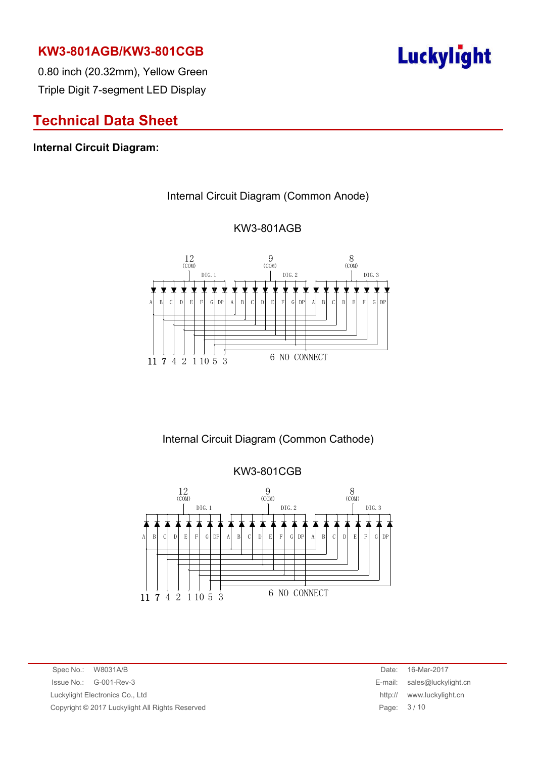

0.80 inch (20.32mm), Yellow Green Triple Digit 7-segment LED Display

# **Technical Data Sheet**

### **Internal Circuit Diagram:**

#### Internal Circuit Diagram (Common Anode)



#### KW3-801AGB

Internal Circuit Diagram (Common Cathode)

KW3-801CGB  $12$  (COM)  $\frac{9}{(COM)}$  $8$  (COM) 12 9 8 DIG.1 DIG.2 DIG.3 ≭  $D$   $E$   $F$   $G$   $DF$ A B C D E F G DP A B C D E  $F | G | DP | A | B | C$ 6 NO CONNECT11 7 4 2 1 10 5 3

Spec No.: W8031A/B Date: 16-Mar-2017 Issue No.: G-001-Rev-3 E-mail: sales@luckylight.cn Luckylight Electronics Co., Ltd **http:// www.luckylight.cn** Copyright © 2017 Luckylight All Rights Reserved **Page: 3/10** Page: 3/10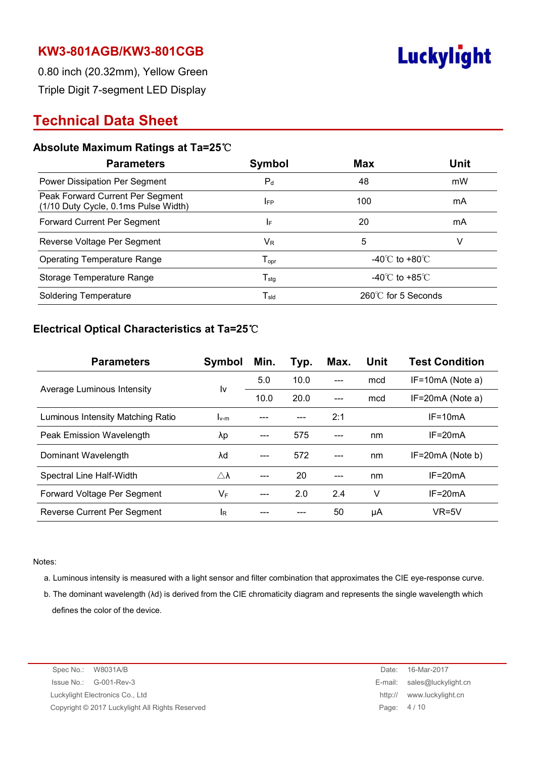

0.80 inch (20.32mm), Yellow Green Triple Digit 7-segment LED Display

# **Technical Data Sheet**

### **Absolute Maximum Ratings at Ta=25**℃

| <b>Parameters</b>                                                        | Symbol                                          | <b>Max</b>                         | <b>Unit</b> |  |
|--------------------------------------------------------------------------|-------------------------------------------------|------------------------------------|-------------|--|
| Power Dissipation Per Segment                                            | $P_d$                                           | 48                                 | mW          |  |
| Peak Forward Current Per Segment<br>(1/10 Duty Cycle, 0.1ms Pulse Width) | <b>IFP</b>                                      | 100                                | mA          |  |
| Forward Current Per Segment                                              | IF.                                             | 20                                 | mA          |  |
| Reverse Voltage Per Segment                                              | $\mathsf{V}_\mathsf{R}$                         | 5                                  | v           |  |
| <b>Operating Temperature Range</b>                                       | $\mathsf{T}_{\mathsf{opr}}$                     | -40 $\degree$ C to +80 $\degree$ C |             |  |
| Storage Temperature Range                                                | $\mathsf{T}_{\textsf{stg}}$                     | -40 $\degree$ C to +85 $\degree$ C |             |  |
| <b>Soldering Temperature</b>                                             | $\mathsf{T}_{\mathsf{s} \mathsf{l} \mathsf{d}}$ | $260^{\circ}$ C for 5 Seconds      |             |  |

### **Electrical Optical Characteristics at Ta=25**℃

| <b>Parameters</b>                 | Symbol              | Min. | Typ. | Max. | Unit | <b>Test Condition</b> |
|-----------------------------------|---------------------|------|------|------|------|-----------------------|
|                                   | I٧                  | 5.0  | 10.0 |      | mcd  | $IF=10mA$ (Note a)    |
| Average Luminous Intensity        |                     | 10.0 | 20.0 |      | mcd  | $IF=20mA$ (Note a)    |
| Luminous Intensity Matching Ratio | $I_{v-m}$           |      |      | 2:1  |      | $IF = 10mA$           |
| Peak Emission Wavelength          | λp                  |      | 575  |      | nm   | $IF = 20mA$           |
| Dominant Wavelength               | λd                  | ---  | 572  |      | nm   | $IF=20mA$ (Note b)    |
| Spectral Line Half-Width          | $\triangle \lambda$ |      | 20   |      | nm   | $IF = 20mA$           |
| Forward Voltage Per Segment       | VF                  |      | 2.0  | 2.4  | v    | $IF = 20mA$           |
| Reverse Current Per Segment       | IR                  |      |      | 50   | μA   | $VR=5V$               |

Notes:

- a. Luminous intensity is measured with a light sensor and filter combination that approximates the CIE eye-response curve.
- b. The dominant wavelength (λd) is derived from the CIE chromaticity diagram and represents the single wavelength which defines the color of the device.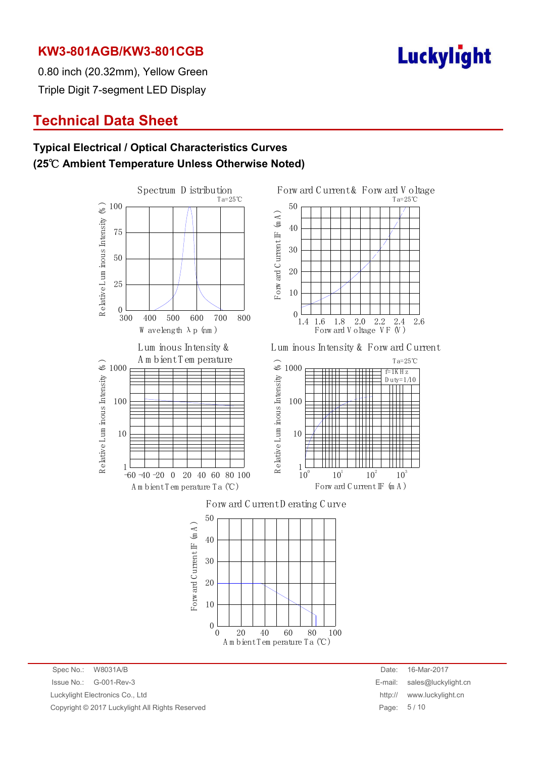

0.80 inch (20.32mm), Yellow Green Triple Digit 7-segment LED Display

# **Technical Data Sheet**

### **Typical Electrical / Optical Characteristics Curves (25**℃ **Ambient Temperature Unless Otherwise Noted)**



Spec No.: W8031A/B Date: 16-Mar-2017 Issue No.: G-001-Rev-3 E-mail: sales@luckylight.cn Luckylight Electronics Co., Ltd **http:// www.luckylight.cn** http:// www.luckylight.cn Copyright © 2017 Luckylight All Rights Reserved **Page: 5** / 10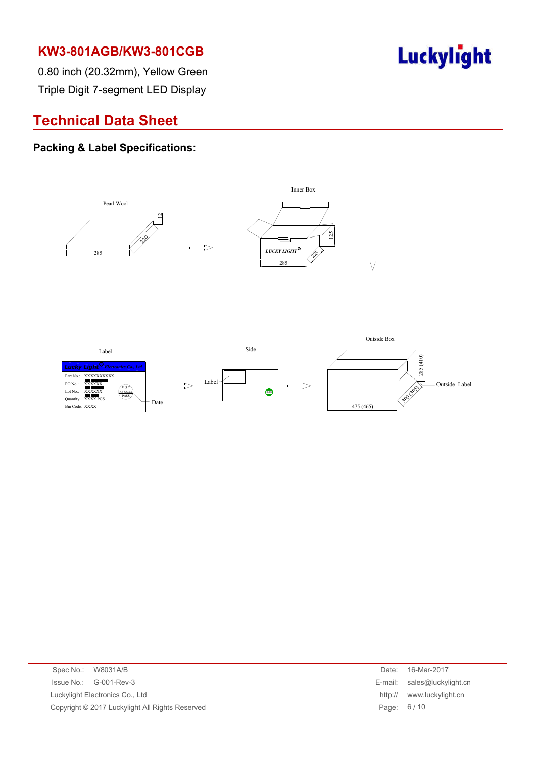

0.80 inch (20.32mm), Yellow Green Triple Digit 7-segment LED Display

# **Technical Data Sheet**

### **Packing & Label Specifications:**



| Spec No.: W8031A/B                              | Date:      | 16-Mar-2017                 |
|-------------------------------------------------|------------|-----------------------------|
| $\ssue No.: \, G-001-Rev-3$                     |            | E-mail: sales@luckylight.cn |
| Luckylight Electronics Co., Ltd                 | http://    | www.luckylight.cn           |
| Copyright © 2017 Luckylight All Rights Reserved | Page: 6/10 |                             |
|                                                 |            |                             |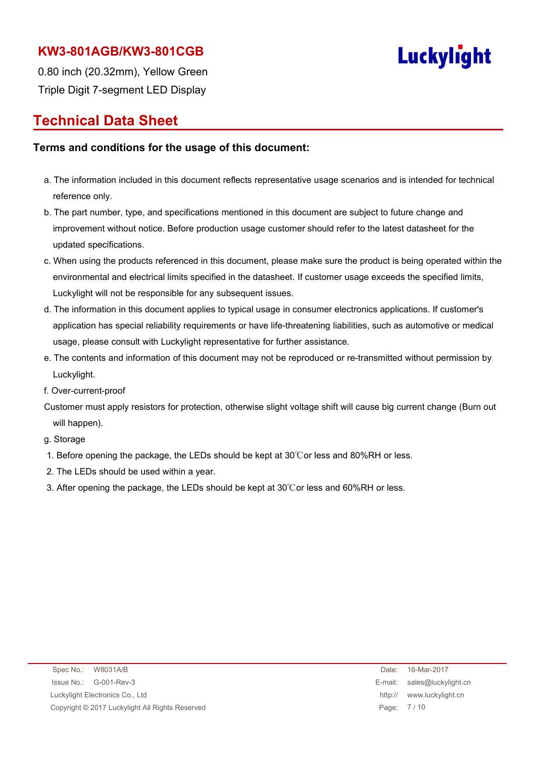

0.80 inch (20.32mm), Yellow Green Triple Digit 7-segment LED Display

## **Technical Data Sheet**

#### **Terms and conditions for the usage of this document:**

- a. The information included in this document reflects representative usage scenarios and is intended for technical reference only.
- b. The part number, type, and specifications mentioned in this document are subject to future change and improvement without notice. Before production usage customer should refer to the latest datasheet for the updated specifications.
- c. When using the products referenced in this document, please make sure the product is being operated within the environmental and electrical limits specified in the datasheet. If customer usage exceeds the specified limits, Luckylight will not be responsible for any subsequent issues.
- d. The information in this document applies to typical usage in consumer electronics applications. If customer's application has special reliability requirements or have life-threatening liabilities, such as automotive or medical usage, please consult with Luckylight representative for further assistance.
- e. The contents and information of this document may not be reproduced or re-transmitted without permission by Luckylight.
- f. Over-current-proof
- Customer must apply resistors for protection, otherwise slight voltage shift will cause big current change (Burn out will happen).

g. Storage

- 1. Before opening the package, the LEDs should be kept at 30℃or less and 80%RH or less.
- 2. The LEDs should be used within a year.
- 3. After opening the package, the LEDs should be kept at 30℃or less and 60%RH or less.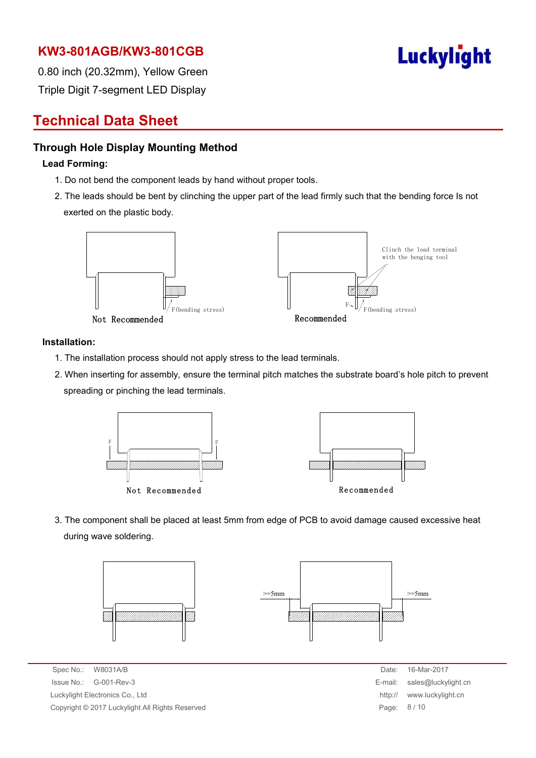

0.80 inch (20.32mm), Yellow Green Triple Digit 7-segment LED Display

# **Technical Data Sheet**

### **Through Hole Display Mounting Method**

#### **Lead Forming:**

- 1. Do not bend the component leads by hand without proper tools.
- 2. The leads should be bent by clinching the upper part of the lead firmly such that the bending force Is not exerted on the plastic body.



#### **Installation:**

- 1. The installation process should not apply stress to the lead terminals.
- 2. When inserting for assembly, ensure the terminal pitch matches the substrate board's hole pitch to prevent spreading or pinching the lead terminals.



3. The component shall be placed at least 5mm from edge of PCB to avoid damage caused excessive heat during wave soldering.



Spec No.: W8031A/B Date: 16-Mar-2017 Issue No.: G-001-Rev-3 Luckylight Electronics Co., Ltd. Copyright © 2017 Luckylight All Rights Reserved

| Date:   | 16-Mar-2017         |
|---------|---------------------|
| E-mail: | sales@luckylight.cn |
| http:// | www.luckylight.cn   |
| Page:   | 8/10                |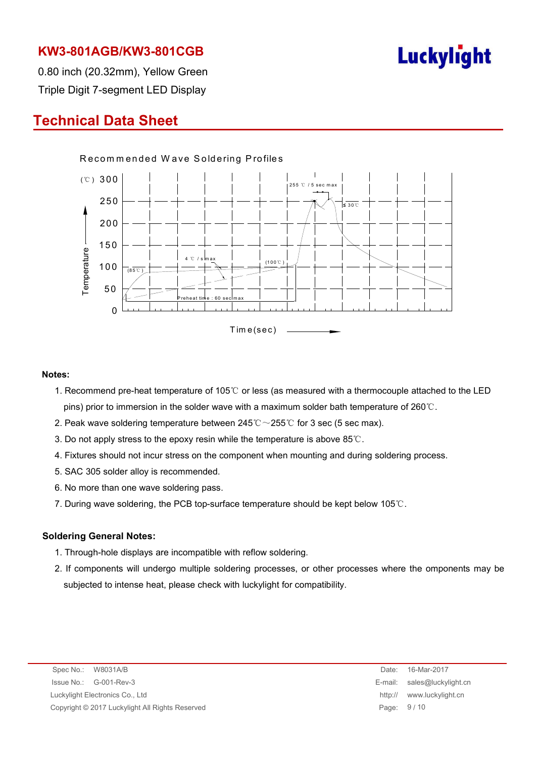

0.80 inch (20.32mm), Yellow Green Triple Digit 7-segment LED Display

# **Technical Data Sheet**



#### **Notes:**

- 1. Recommend pre-heat temperature of 105℃ or less (as measured with a thermocouple attached to the LED pins) prior to immersion in the solder wave with a maximum solder bath temperature of 260℃.
- 2. Peak wave soldering temperature between  $245^{\circ}\text{C} \sim 255^{\circ}\text{C}$  for 3 sec (5 sec max).
- 3. Do not apply stress to the epoxy resin while the temperature is above 85℃.
- 4. Fixtures should not incur stress on the component when mounting and during soldering process.
- 5. SAC 305 solder alloy is recommended.
- 6. No more than one wave soldering pass.
- 7. During wave soldering, the PCB top-surface temperature should be kept below 105℃.

#### **Soldering General Notes:**

- 1. Through-hole displays are incompatible with reflow soldering.
- 2. If components will undergo multiple soldering processes, or other processes where the omponents may be subjected to intense heat, please check with luckylight for compatibility.